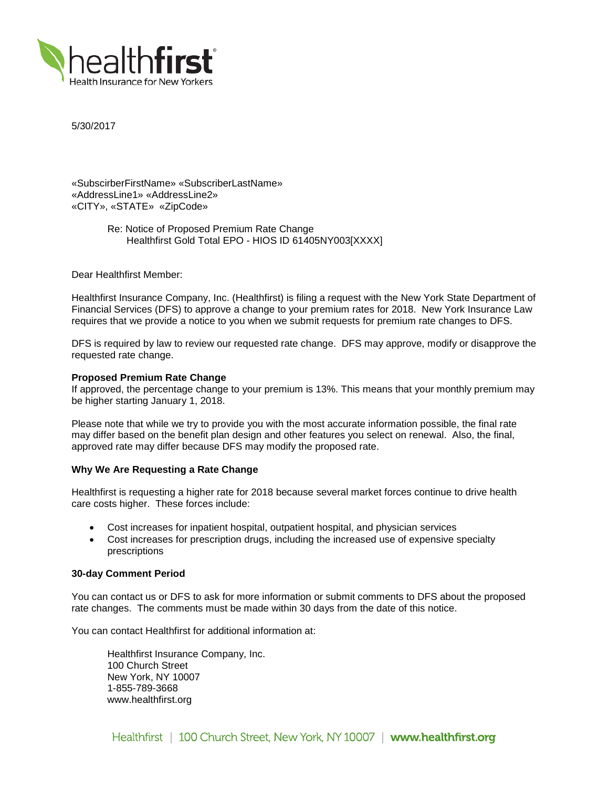

5/30/2017

«SubscirberFirstName» «SubscriberLastName» «AddressLine1» «AddressLine2» «CITY», «STATE» «ZipCode»

> Re: Notice of Proposed Premium Rate Change Healthfirst Gold Total EPO - HIOS ID 61405NY003[XXXX]

Dear Healthfirst Member:

Healthfirst Insurance Company, Inc. (Healthfirst) is filing a request with the New York State Department of Financial Services (DFS) to approve a change to your premium rates for 2018. New York Insurance Law requires that we provide a notice to you when we submit requests for premium rate changes to DFS.

DFS is required by law to review our requested rate change. DFS may approve, modify or disapprove the requested rate change.

## **Proposed Premium Rate Change**

If approved, the percentage change to your premium is 13%. This means that your monthly premium may be higher starting January 1, 2018.

Please note that while we try to provide you with the most accurate information possible, the final rate may differ based on the benefit plan design and other features you select on renewal. Also, the final, approved rate may differ because DFS may modify the proposed rate.

### **Why We Are Requesting a Rate Change**

Healthfirst is requesting a higher rate for 2018 because several market forces continue to drive health care costs higher. These forces include:

- Cost increases for inpatient hospital, outpatient hospital, and physician services
- Cost increases for prescription drugs, including the increased use of expensive specialty prescriptions

### **30-day Comment Period**

You can contact us or DFS to ask for more information or submit comments to DFS about the proposed rate changes. The comments must be made within 30 days from the date of this notice.

You can contact Healthfirst for additional information at:

Healthfirst Insurance Company, Inc. 100 Church Street New York, NY 10007 1-855-789-3668 www.healthfirst.org